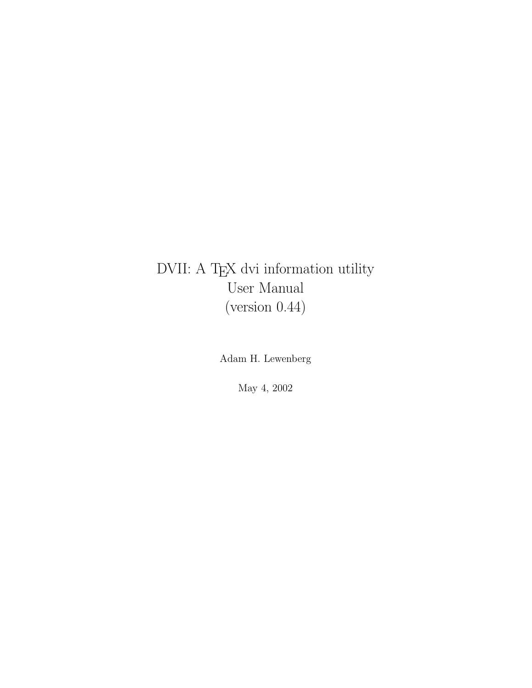## DVII: A TEX dvi information utility User Manual (version 0.44)

Adam H. Lewenberg

May 4, 2002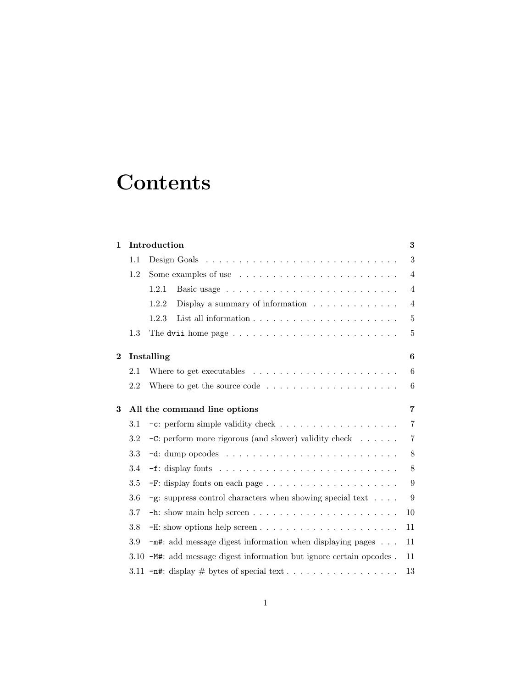# **Contents**

| $\mathbf 1$             |     | Introduction<br>$\bf{3}$                                                                                   |                |  |  |
|-------------------------|-----|------------------------------------------------------------------------------------------------------------|----------------|--|--|
|                         | 1.1 |                                                                                                            | 3              |  |  |
|                         | 1.2 |                                                                                                            | 4              |  |  |
|                         |     | 1.2.1                                                                                                      | 4              |  |  |
|                         |     | Display a summary of information $\ldots \ldots \ldots \ldots$<br>1.2.2                                    | $\overline{4}$ |  |  |
|                         |     | 1.2.3                                                                                                      | 5              |  |  |
|                         | 1.3 | The dvii home page $\dots \dots \dots \dots \dots \dots \dots \dots \dots$                                 | 5              |  |  |
| $\overline{\mathbf{2}}$ |     | $\boldsymbol{6}$<br>Installing                                                                             |                |  |  |
|                         | 2.1 | Where to get executables $\dots \dots \dots \dots \dots \dots \dots \dots$                                 | 6              |  |  |
|                         | 2.2 |                                                                                                            | 6              |  |  |
| 3                       |     | All the command line options                                                                               | $\overline{7}$ |  |  |
|                         | 3.1 |                                                                                                            | $\overline{7}$ |  |  |
|                         | 3.2 | $-C$ : perform more rigorous (and slower) validity check $\ldots \ldots$                                   | $\overline{7}$ |  |  |
|                         | 3.3 |                                                                                                            | 8              |  |  |
|                         | 3.4 |                                                                                                            | 8              |  |  |
|                         | 3.5 |                                                                                                            | 9              |  |  |
|                         | 3.6 | $-\mathsf{g}\text{: }$ suppress control characters when showing special text $\hfill\ldots$ $\hfill\ldots$ | 9              |  |  |
|                         | 3.7 |                                                                                                            | 10             |  |  |
|                         | 3.8 | $-H:$ show options help screen $\ldots \ldots \ldots \ldots \ldots \ldots \ldots$                          | 11             |  |  |
|                         | 3.9 | $-\mathbf{m}$ #: add message digest information when displaying pages $\ldots$                             | 11             |  |  |
|                         |     | 3.10 -M#: add message digest information but ignore certain opcodes.                                       | 11             |  |  |
|                         |     |                                                                                                            | 13             |  |  |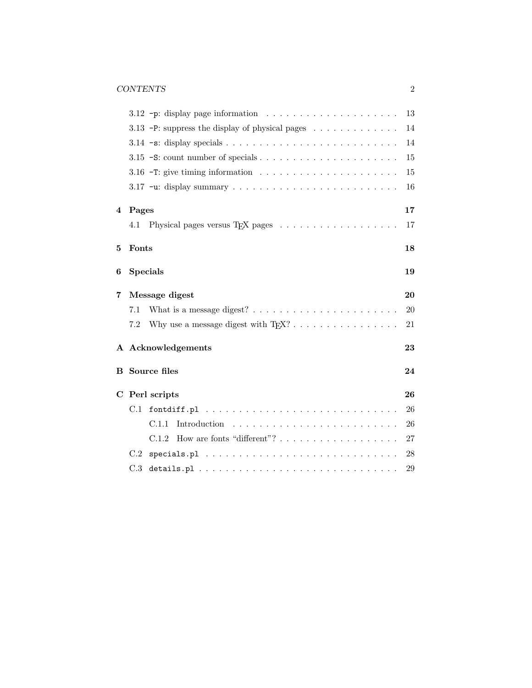|                |           | 3.12 -p: display page information $\ldots \ldots \ldots \ldots \ldots \ldots$                      | 13         |
|----------------|-----------|----------------------------------------------------------------------------------------------------|------------|
|                |           | 3.13 -P: suppress the display of physical pages                                                    | 14         |
|                |           | 3.14 $\text{-s: display specials.} \ldots \ldots \ldots \ldots \ldots \ldots \ldots \ldots \ldots$ | 14         |
|                |           |                                                                                                    | 15         |
|                |           |                                                                                                    | 15         |
|                |           |                                                                                                    | 16         |
| $\overline{4}$ | Pages     |                                                                                                    | 17         |
|                | 4.1       |                                                                                                    | 17         |
| 5              | Fonts     |                                                                                                    | 18         |
| 6              |           | <b>Specials</b>                                                                                    | 19         |
| 7              |           | Message digest                                                                                     | 20         |
|                | 7.1       | What is a message digest? $\ldots \ldots \ldots \ldots \ldots \ldots \ldots$                       | 20         |
|                | 7.2       | Why use a message digest with $T_F X$ ? $\ldots$ $\ldots$ $\ldots$ $\ldots$ $\ldots$ $\ldots$      | 21         |
|                |           | A Acknowledgements                                                                                 | 23         |
|                |           | <b>B</b> Source files                                                                              | 24         |
|                |           | C Perl scripts                                                                                     | 26         |
|                | $\rm C.1$ |                                                                                                    | 26         |
|                |           | C.1.1                                                                                              | 26         |
|                |           | How are fonts "different"? $\dots \dots \dots \dots \dots \dots$<br>C.1.2                          | 27         |
|                | C.2       |                                                                                                    | ${\bf 28}$ |
|                | C.3       |                                                                                                    | $\,29$     |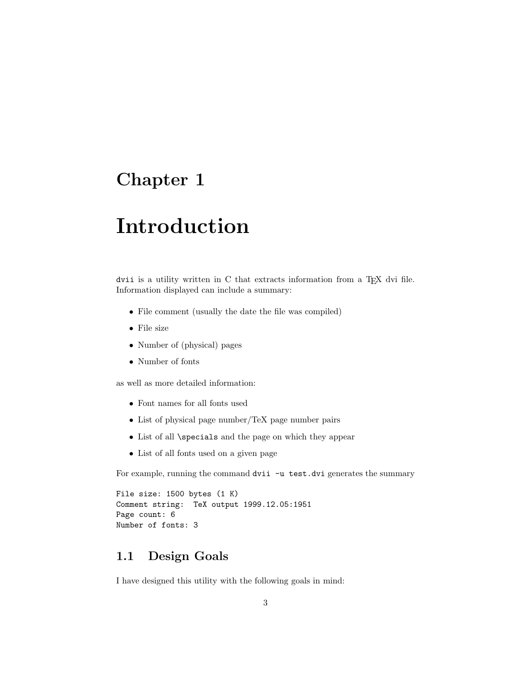# **Introduction**

dvii is a utility written in  $C$  that extracts information from a T<sub>E</sub>X dvi file. Information displayed can include a summary:

- File comment (usually the date the file was compiled)
- File size
- Number of (physical) pages
- Number of fonts

as well as more detailed information:

- Font names for all fonts used
- List of physical page number/TeX page number pairs
- List of all \specials and the page on which they appear
- List of all fonts used on a given page

For example, running the command dvii -u test.dvi generates the summary

```
File size: 1500 bytes (1 K)
Comment string: TeX output 1999.12.05:1951
Page count: 6
Number of fonts: 3
```
## **1.1 Design Goals**

I have designed this utility with the following goals in mind: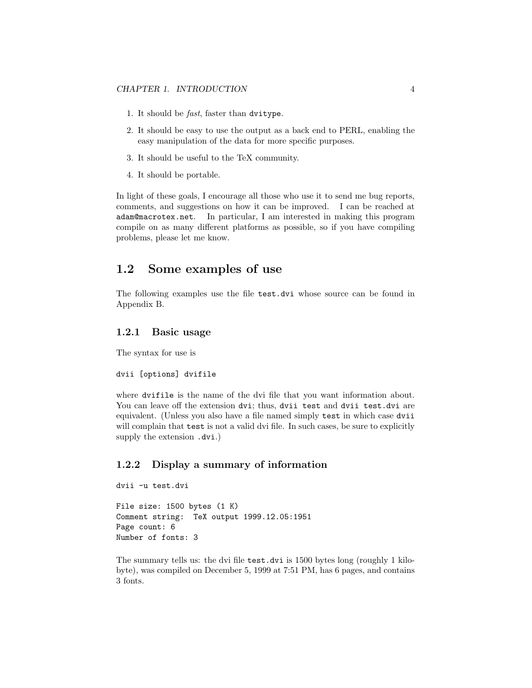- 1. It should be fast, faster than dvitype.
- 2. It should be easy to use the output as a back end to PERL, enabling the easy manipulation of the data for more specific purposes.
- 3. It should be useful to the TeX community.
- 4. It should be portable.

In light of these goals, I encourage all those who use it to send me bug reports, comments, and suggestions on how it can be improved. I can be reached at adam@macrotex.net. In particular, I am interested in making this program compile on as many different platforms as possible, so if you have compiling problems, please let me know.

#### **1.2 Some examples of use**

The following examples use the file test.dvi whose source can be found in Appendix B.

#### **1.2.1 Basic usage**

The syntax for use is

dvii [options] dvifile

where dvifile is the name of the dvi file that you want information about. You can leave off the extension dvi; thus, dvii test and dvii test.dvi are equivalent. (Unless you also have a file named simply test in which case dvii will complain that **test** is not a valid dvi file. In such cases, be sure to explicitly supply the extension .dvi.)

#### **1.2.2 Display a summary of information**

```
dvii -u test.dvi
```

```
File size: 1500 bytes (1 K)
Comment string: TeX output 1999.12.05:1951
Page count: 6
Number of fonts: 3
```
The summary tells us: the dvi file test.dvi is 1500 bytes long (roughly 1 kilobyte), was compiled on December 5, 1999 at 7:51 PM, has 6 pages, and contains 3 fonts.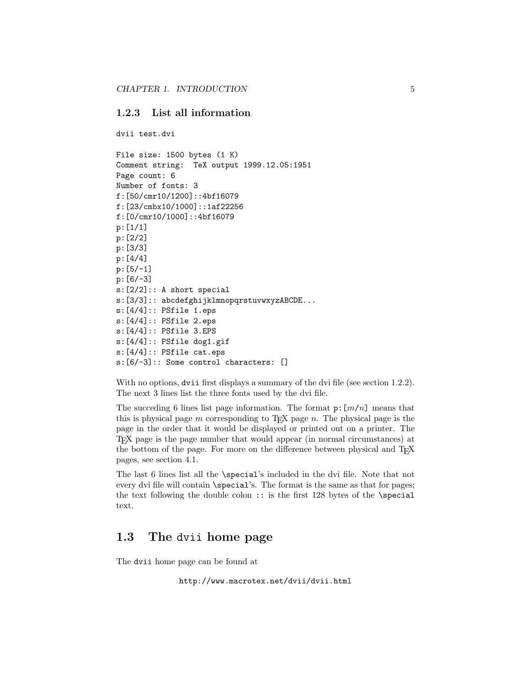#### **1.2.3 List all information**

dvii test.dvi

```
File size: 1500 bytes (1 K)
Comment string: TeX output 1999.12.05:1951
Page count: 6
Number of fonts: 3
f:[50/cmr10/1200]::4bf16079
f:[23/cmbx10/1000]::1af22256
f:[0/cmr10/1000]::4bf16079
p:[1/1]
p:[2/2]
p:[3/3]
p:[4/4]
p:[5/-1]
p:[6/-3]
s:[2/2]:: A short special
s:[3/3]:: abcdefghijklmnopqrstuvwxyzABCDE...
s:[4/4]:: PSfile 1.eps
s:[4/4]:: PSfile 2.eps
s:[4/4]:: PSfile 3.EPS
s:[4/4]:: PSfile dog1.gif
s:[4/4]:: PSfile cat.eps
s:[6/-3]:: Some control characters: []
```
With no options, dvii first displays a summary of the dvi file (see section 1.2.2). The next 3 lines list the three fonts used by the dvi file.

The succeding 6 lines list page information. The format  $p: [m/n]$  means that this is physical page  $m$  corresponding to T<sub>EX</sub> page  $n$ . The physical page is the page in the order that it would be displayed or printed out on a printer. The TEX page is the page number that would appear (in normal circumstances) at the bottom of the page. For more on the difference between physical and T<sub>E</sub>X pages, see section 4.1.

The last 6 lines list all the \special's included in the dvi file. Note that not every dvi file will contain \special's. The format is the same as that for pages; the text following the double colon  $::$  is the first 128 bytes of the \special text.

### **1.3 The** dvii **home page**

The dvii home page can be found at

http://www.macrotex.net/dvii/dvii.html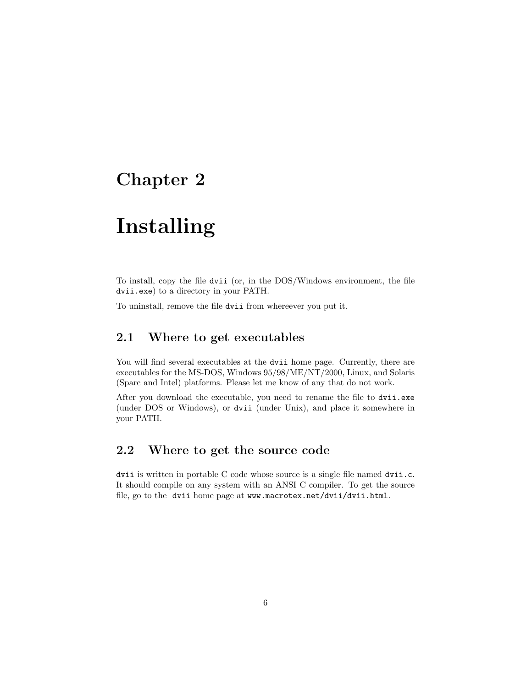# **Installing**

To install, copy the file dvii (or, in the DOS/Windows environment, the file dvii.exe) to a directory in your PATH.

To uninstall, remove the file dvii from whereever you put it.

### **2.1 Where to get executables**

You will find several executables at the dvii home page. Currently, there are executables for the MS-DOS, Windows 95/98/ME/NT/2000, Linux, and Solaris (Sparc and Intel) platforms. Please let me know of any that do not work.

After you download the executable, you need to rename the file to dvii.exe (under DOS or Windows), or dvii (under Unix), and place it somewhere in your PATH.

### **2.2 Where to get the source code**

dvii is written in portable C code whose source is a single file named dvii.c. It should compile on any system with an ANSI C compiler. To get the source file, go to the dvii home page at www.macrotex.net/dvii/dvii.html.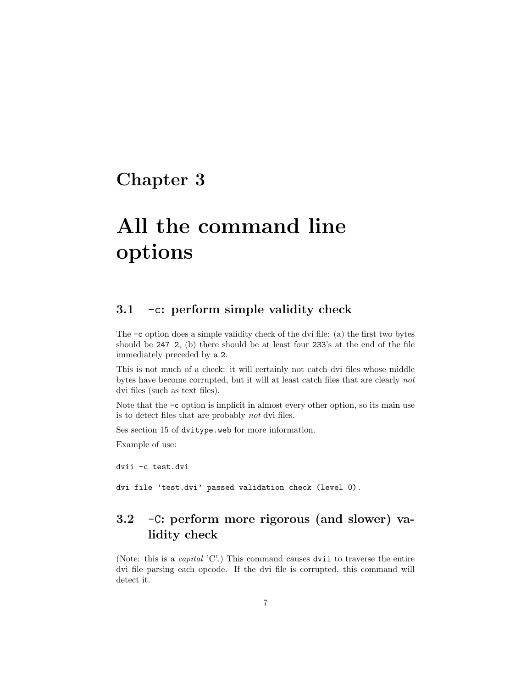# **All the command line options**

### **3.1** -c**: perform simple validity check**

The -c option does a simple validity check of the dvi file: (a) the first two bytes should be 247 2, (b) there should be at least four 233's at the end of the file immediately preceded by a 2.

This is not much of a check: it will certainly not catch dvi files whose middle bytes have become corrupted, but it will at least catch files that are clearly not dvi files (such as text files).

Note that the  $-c$  option is implicit in almost every other option, so its main use is to detect files that are probably not dvi files.

Ses section 15 of dvitype.web for more information.

Example of use:

dvii -c test.dvi

dvi file 'test.dvi' passed validation check (level 0).

## **3.2** -C**: perform more rigorous (and slower) validity check**

(Note: this is a capital 'C'.) This command causes dvii to traverse the entire dvi file parsing each opcode. If the dvi file is corrupted, this command will detect it.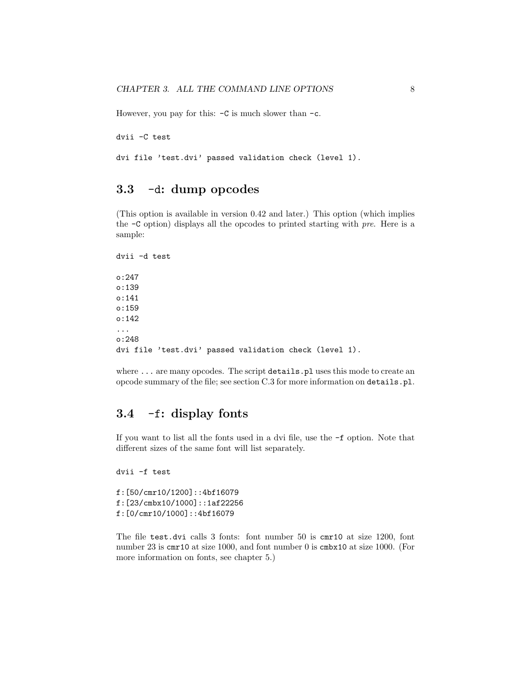However, you pay for this: -C is much slower than -c.

dvii -C test

dvi file 'test.dvi' passed validation check (level 1).

### **3.3** -d**: dump opcodes**

(This option is available in version 0.42 and later.) This option (which implies the -C option) displays all the opcodes to printed starting with pre. Here is a sample:

dvii -d test o:247 o:139 o:141 o:159 o:142 ... o:248 dvi file 'test.dvi' passed validation check (level 1).

where ... are many opcodes. The script details.pl uses this mode to create an opcode summary of the file; see section C.3 for more information on details.pl.

### **3.4** -f**: display fonts**

If you want to list all the fonts used in a dvi file, use the -f option. Note that different sizes of the same font will list separately.

```
f:[50/cmr10/1200]::4bf16079
f:[23/cmbx10/1000]::1af22256
f:[0/cmr10/1000]::4bf16079
```
dvii -f test

The file test.dvi calls 3 fonts: font number 50 is cmr10 at size 1200, font number 23 is cmr10 at size 1000, and font number 0 is cmbx10 at size 1000. (For more information on fonts, see chapter 5.)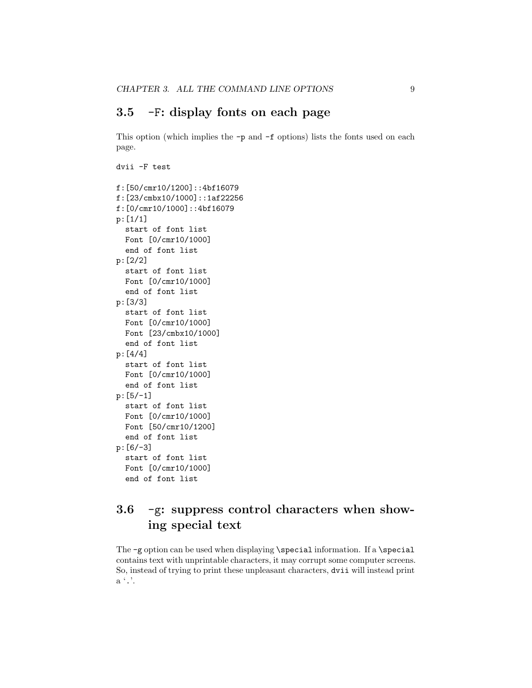### **3.5** -F**: display fonts on each page**

This option (which implies the -p and -f options) lists the fonts used on each page.

```
dvii -F test
f:[50/cmr10/1200]::4bf16079
f:[23/cmbx10/1000]::1af22256
f:[0/cmr10/1000]::4bf16079
p:[1/1]
  start of font list
 Font [0/cmr10/1000]
  end of font list
p:[2/2]
  start of font list
 Font [0/cmr10/1000]
  end of font list
p:[3/3]
 start of font list
 Font [0/cmr10/1000]
 Font [23/cmbx10/1000]
  end of font list
p:[4/4]
 start of font list
 Font [0/cmr10/1000]
  end of font list
p:[5/-1]
  start of font list
 Font [0/cmr10/1000]
 Font [50/cmr10/1200]
  end of font list
p:[6/-3]
 start of font list
 Font [0/cmr10/1000]
 end of font list
```
## **3.6** -g**: suppress control characters when showing special text**

The -g option can be used when displaying \special information. If a \special contains text with unprintable characters, it may corrupt some computer screens. So, instead of trying to print these unpleasant characters, dvii will instead print a '.'.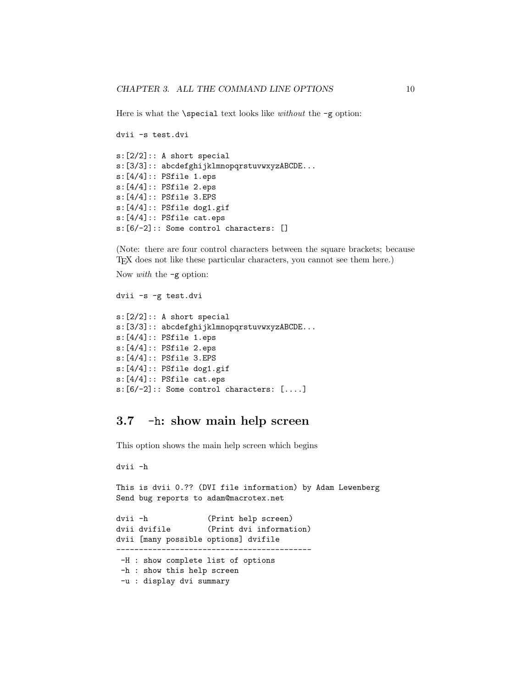Here is what the  $\searrow$  special text looks like *without* the  $-g$  option:

```
dvii -s test.dvi
s:[2/2]:: A short special
s:[3/3]:: abcdefghijklmnopqrstuvwxyzABCDE...
s:[4/4]:: PSfile 1.eps
s:[4/4]:: PSfile 2.eps
s:[4/4]:: PSfile 3.EPS
s:[4/4]:: PSfile dog1.gif
s:[4/4]:: PSfile cat.eps
s:[6/-2]:: Some control characters: []
```
(Note: there are four control characters between the square brackets; because TEX does not like these particular characters, you cannot see them here.)

```
Now with the -g option:
```

```
dvii -s -g test.dvi
s:[2/2]:: A short special
s:[3/3]:: abcdefghijklmnopqrstuvwxyzABCDE...
s:[4/4]:: PSfile 1.eps
s:[4/4]:: PSfile 2.eps
s:[4/4]:: PSfile 3.EPS
s:[4/4]:: PSfile dog1.gif
s:[4/4]:: PSfile cat.eps
s:[6/-2]:: Some control characters: [....]
```
### **3.7** -h**: show main help screen**

This option shows the main help screen which begins

```
dvii -h
```
This is dvii 0.?? (DVI file information) by Adam Lewenberg Send bug reports to adam@macrotex.net dvii -h (Print help screen) dvii dvifile (Print dvi information) dvii [many possible options] dvifile ------------------------------------------- -H : show complete list of options -h : show this help screen -u : display dvi summary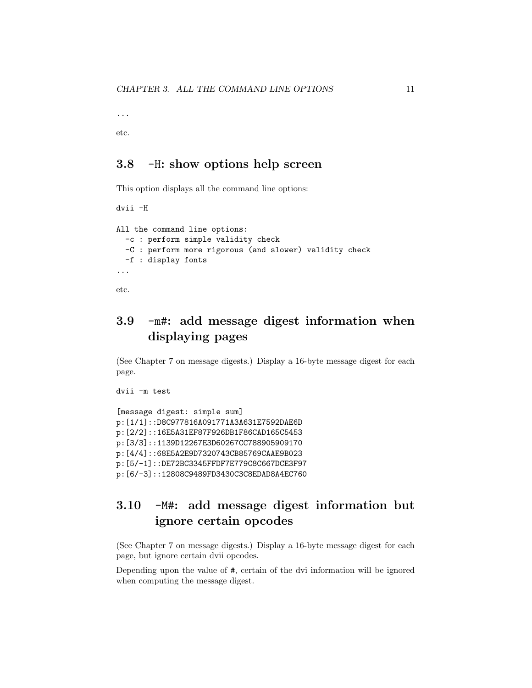...

etc.

### **3.8** -H**: show options help screen**

This option displays all the command line options:

```
dvii -H
All the command line options:
 -c : perform simple validity check
 -C : perform more rigorous (and slower) validity check
 -f : display fonts
...
etc.
```
## **3.9** -m#**: add message digest information when displaying pages**

(See Chapter 7 on message digests.) Display a 16-byte message digest for each page.

```
dvii -m test
```

```
[message digest: simple sum]
p:[1/1]::D8C977816A091771A3A631E7592DAE6D
p:[2/2]::16E5A31EF87F926DB1F86CAD165C5453
p:[3/3]::1139D12267E3D60267CC788905909170
p:[4/4]::68E5A2E9D7320743CB85769CAAE9B023
p:[5/-1]::DE72BC3345FFDF7E779C8C667DCE3F97
p:[6/-3]::12808C9489FD3430C3C8EDAD8A4EC760
```
## **3.10** -M#**: add message digest information but ignore certain opcodes**

(See Chapter 7 on message digests.) Display a 16-byte message digest for each page, but ignore certain dvii opcodes.

Depending upon the value of #, certain of the dvi information will be ignored when computing the message digest.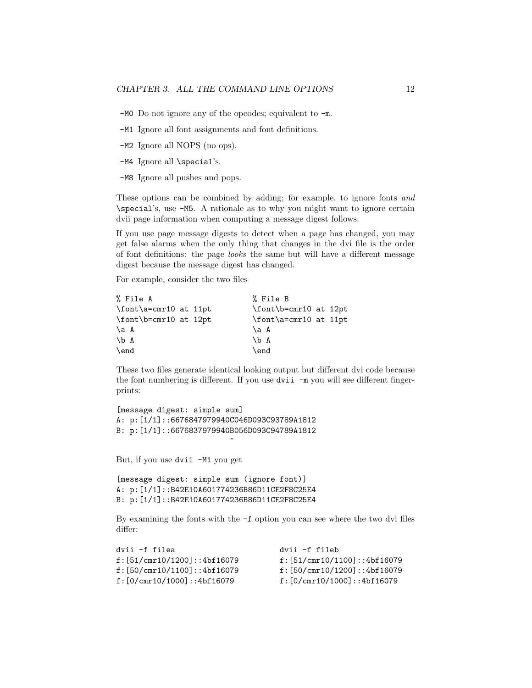-M0 Do not ignore any of the opcodes; equivalent to -m.

-M1 Ignore all font assignments and font definitions.

-M2 Ignore all NOPS (no ops).

-M4 Ignore all \special's.

-M8 Ignore all pushes and pops.

These options can be combined by adding; for example, to ignore fonts and \special's, use -M5. A rationale as to why you might want to ignore certain dvii page information when computing a message digest follows.

If you use page message digests to detect when a page has changed, you may get false alarms when the only thing that changes in the dvi file is the order of font definitions: the page looks the same but will have a different message digest because the message digest has changed.

For example, consider the two files

| % File A              | % File B              |
|-----------------------|-----------------------|
| \font\a=cmr10 at 11pt | \font\b=cmr10 at 12pt |
| \font\b=cmr10 at 12pt | \font\a=cmr10 at 11pt |
| \a A                  | \a A                  |
| $\mathcal{b}$ A       | \b A                  |
| \end                  | \end                  |

These two files generate identical looking output but different dvi code because the font numbering is different. If you use dvii -m you will see different fingerprints:

```
[message digest: simple sum]
A: p:[1/1]::6676847979940C046D093C93789A1812
B: p:[1/1]::6676837979940B056D093C94789A1812
```
 $\hat{\phantom{a}}$ 

But, if you use dvii -M1 you get

```
[message digest: simple sum (ignore font)]
A: p:[1/1]::B42E10A601774236B86D11CE2F8C25E4
B: p:[1/1]::B42E10A601774236B86D11CE2F8C25E4
```
By examining the fonts with the -f option you can see where the two dvi files differ:

| dvii -f filea                | dvii -f fileb                |
|------------------------------|------------------------------|
| f: [51/cmr10/1200]::4bf16079 | f: [51/cmr10/1100]::4bf16079 |
| f: [50/cmr10/1100]::4bf16079 | f: [50/cmr10/1200]::4bf16079 |
| f: [0/cmr10/1000]:: 4bf16079 | f: [0/cmr10/1000]::4bf16079  |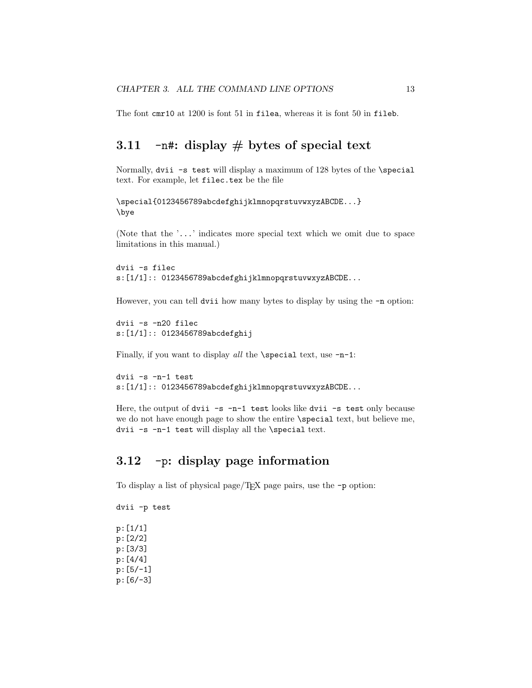The font cmr10 at 1200 is font 51 in filea, whereas it is font 50 in fileb.

## **3.11** -n#**: display # bytes of special text**

Normally, dvii -s test will display a maximum of 128 bytes of the \special text. For example, let filec.tex be the file

```
\special{0123456789abcdefghijklmnopqrstuvwxyzABCDE...}
\bye
```
(Note that the '...' indicates more special text which we omit due to space limitations in this manual.)

```
dvii -s filec
s:[1/1]:: 0123456789abcdefghijklmnopqrstuvwxyzABCDE...
```
However, you can tell dvii how many bytes to display by using the  $-\mathbf{n}$  option:

dvii -s -n20 filec s:[1/1]:: 0123456789abcdefghij

Finally, if you want to display all the  $\simeq$  special text, use -n-1:

```
dvii -s -n-1 test
s:[1/1]:: 0123456789abcdefghijklmnopqrstuvwxyzABCDE...
```
Here, the output of dvii -s -n-1 test looks like dvii -s test only because we do not have enough page to show the entire \special text, but believe me, dvii -s -n-1 test will display all the \special text.

## **3.12** -p**: display page information**

To display a list of physical page/TEX page pairs, use the -p option:

dvii -p test p:[1/1] p:[2/2] p:[3/3] p:[4/4] p:[5/-1] p:[6/-3]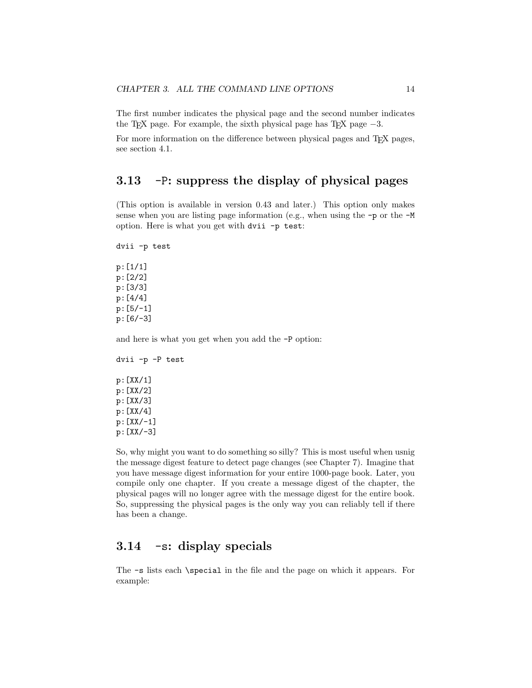The first number indicates the physical page and the second number indicates the T<sub>EX</sub> page. For example, the sixth physical page has T<sub>EX</sub> page  $-3$ .

For more information on the difference between physical pages and TEX pages, see section 4.1.

#### **3.13** -P**: suppress the display of physical pages**

(This option is available in version 0.43 and later.) This option only makes sense when you are listing page information (e.g., when using the -p or the -M option. Here is what you get with dvii -p test:

dvii -p test

p:[1/1] p:[2/2] p:[3/3] p:[4/4] p:[5/-1] p:[6/-3]

and here is what you get when you add the -P option:

dvii -p -P test p:[XX/1] p:[XX/2] p:[XX/3] p:[XX/4] p:[XX/-1] p:[XX/-3]

So, why might you want to do something so silly? This is most useful when usnig the message digest feature to detect page changes (see Chapter 7). Imagine that you have message digest information for your entire 1000-page book. Later, you compile only one chapter. If you create a message digest of the chapter, the physical pages will no longer agree with the message digest for the entire book. So, suppressing the physical pages is the only way you can reliably tell if there has been a change.

## **3.14** -s**: display specials**

The -s lists each \special in the file and the page on which it appears. For example: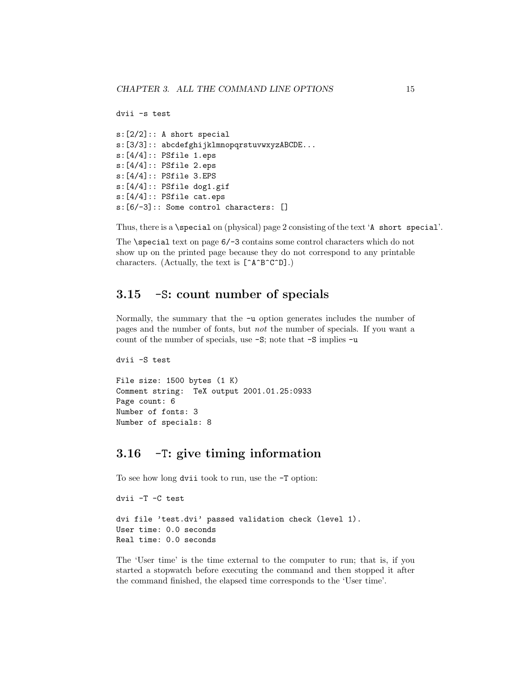```
dvii -s test
```

```
s:[2/2]:: A short special
s: [3/3]: : abcdefghijklmnopqrstuvwxyzABCDE...
s:[4/4]:: PSfile 1.eps
s:[4/4]:: PSfile 2.eps
s:[4/4]:: PSfile 3.EPS
s:[4/4]:: PSfile dog1.gif
s:[4/4]:: PSfile cat.eps
s:[6/-3]:: Some control characters: []
```
Thus, there is a \special on (physical) page 2 consisting of the text 'A short special'.

The \special text on page  $6/-3$  contains some control characters which do not show up on the printed page because they do not correspond to any printable characters. (Actually, the text is [^A^B^C^D].)

#### **3.15** -S**: count number of specials**

Normally, the summary that the -u option generates includes the number of pages and the number of fonts, but not the number of specials. If you want a count of the number of specials, use -S; note that -S implies -u

```
dvii -S test
```

```
File size: 1500 bytes (1 K)
Comment string: TeX output 2001.01.25:0933
Page count: 6
Number of fonts: 3
Number of specials: 8
```
### **3.16** -T**: give timing information**

To see how long dvii took to run, use the -T option:

```
dvii -T -C test
dvi file 'test.dvi' passed validation check (level 1).
User time: 0.0 seconds
Real time: 0.0 seconds
```
The 'User time' is the time external to the computer to run; that is, if you started a stopwatch before executing the command and then stopped it after the command finished, the elapsed time corresponds to the 'User time'.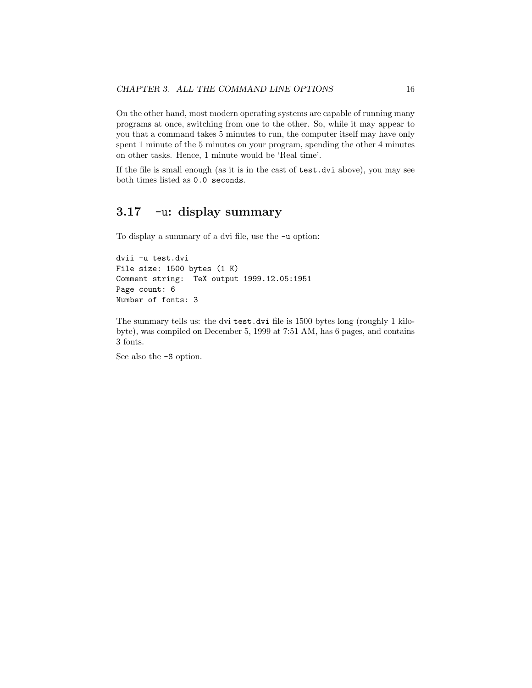On the other hand, most modern operating systems are capable of running many programs at once, switching from one to the other. So, while it may appear to you that a command takes 5 minutes to run, the computer itself may have only spent 1 minute of the 5 minutes on your program, spending the other 4 minutes on other tasks. Hence, 1 minute would be 'Real time'.

If the file is small enough (as it is in the cast of test.dvi above), you may see both times listed as 0.0 seconds.

## **3.17** -u**: display summary**

To display a summary of a dvi file, use the -u option:

```
dvii -u test.dvi
File size: 1500 bytes (1 K)
Comment string: TeX output 1999.12.05:1951
Page count: 6
Number of fonts: 3
```
The summary tells us: the dvi test.dvi file is 1500 bytes long (roughly 1 kilobyte), was compiled on December 5, 1999 at 7:51 AM, has 6 pages, and contains 3 fonts.

See also the -S option.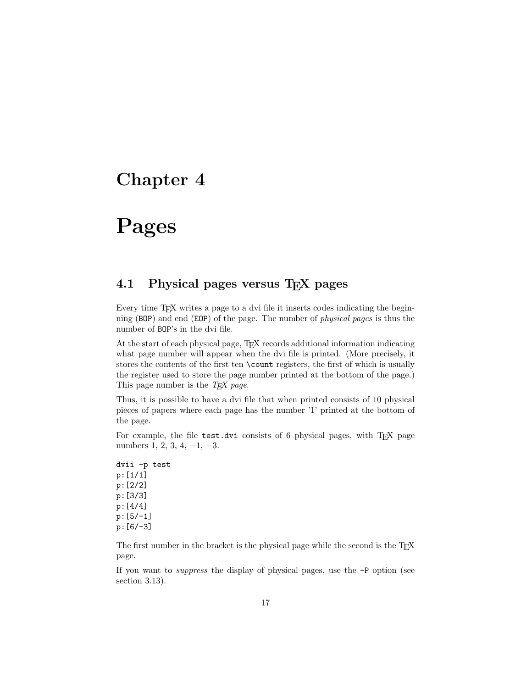# **Pages**

## **4.1 Physical pages versus TEX pages**

Every time T<sub>EX</sub> writes a page to a dvi file it inserts codes indicating the beginning (BOP) and end (EOP) of the page. The number of physical pages is thus the number of BOP's in the dvi file.

At the start of each physical page, TEX records additional information indicating what page number will appear when the dvi file is printed. (More precisely, it stores the contents of the first ten \count registers, the first of which is usually the register used to store the page number printed at the bottom of the page.) This page number is the  $T<sub>F</sub> X$  page.

Thus, it is possible to have a dvi file that when printed consists of 10 physical pieces of papers where each page has the number '1' printed at the bottom of the page.

For example, the file test.dvi consists of 6 physical pages, with TFX page numbers 1, 2, 3, 4,  $-1$ ,  $-3$ .

dvii -p test p:[1/1] p:[2/2] p:[3/3] p:[4/4] p:[5/-1] p:[6/-3]

The first number in the bracket is the physical page while the second is the TEX page.

If you want to suppress the display of physical pages, use the -P option (see section 3.13).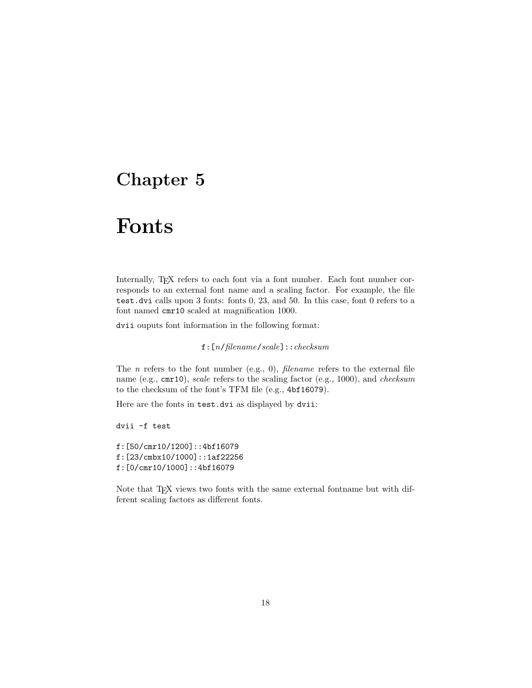# **Fonts**

Internally, T<sub>E</sub>X refers to each font via a font number. Each font number corresponds to an external font name and a scaling factor. For example, the file test.dvi calls upon 3 fonts: fonts 0, 23, and 50. In this case, font 0 refers to a font named cmr10 scaled at magnification 1000.

dvii ouputs font information in the following format:

f:[n/filename/scale]::checksum

The *n* refers to the font number (e.g., 0), *filename* refers to the external file name (e.g., cmr10), scale refers to the scaling factor (e.g., 1000), and checksum to the checksum of the font's TFM file (e.g., 4bf16079).

Here are the fonts in test.dvi as displayed by dvii:

dvii -f test

f:[50/cmr10/1200]::4bf16079 f:[23/cmbx10/1000]::1af22256 f:[0/cmr10/1000]::4bf16079

Note that T<sub>E</sub>X views two fonts with the same external fontname but with different scaling factors as different fonts.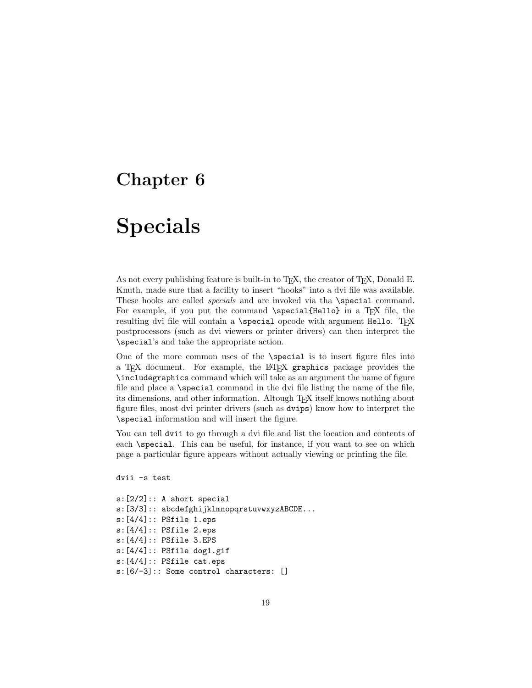# **Specials**

As not every publishing feature is built-in to T<sub>E</sub>X, the creator of T<sub>E</sub>X, Donald E. Knuth, made sure that a facility to insert "hooks" into a dvi file was available. These hooks are called *specials* and are invoked via tha **\special** command. For example, if you put the command \special{Hello} in a TEX file, the resulting dvi file will contain a **\special** opcode with argument Hello. TFX postprocessors (such as dvi viewers or printer drivers) can then interpret the \special's and take the appropriate action.

One of the more common uses of the **\special** is to insert figure files into a TEX document. For example, the LATEX graphics package provides the \includegraphics command which will take as an argument the name of figure file and place a **\special** command in the dvi file listing the name of the file, its dimensions, and other information. Altough TEX itself knows nothing about figure files, most dvi printer drivers (such as dvips) know how to interpret the \special information and will insert the figure.

You can tell dvii to go through a dvi file and list the location and contents of each **\special**. This can be useful, for instance, if you want to see on which page a particular figure appears without actually viewing or printing the file.

dvii -s test

```
s:[2/2]:: A short special
s:[3/3]:: abcdefghijklmnopqrstuvwxyzABCDE...
s:[4/4]:: PSfile 1.eps
s:[4/4]:: PSfile 2.eps
s:[4/4]:: PSfile 3.EPS
s:[4/4]:: PSfile dog1.gif
s:[4/4]:: PSfile cat.eps
s:[6/-3]:: Some control characters: []
```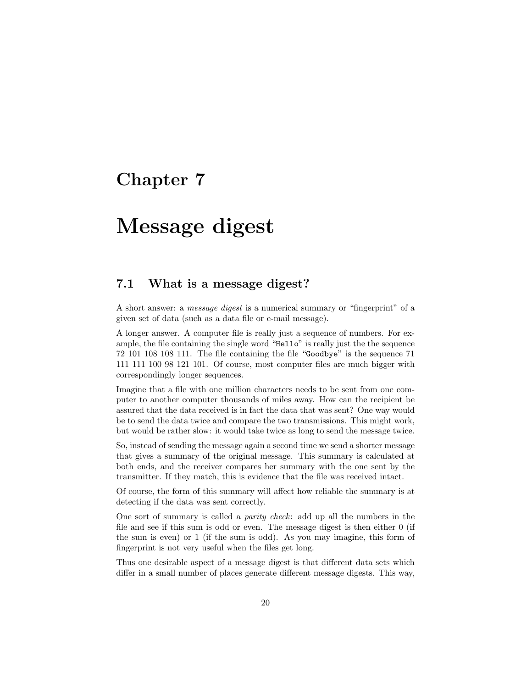# **Message digest**

### **7.1 What is a message digest?**

A short answer: a message digest is a numerical summary or "fingerprint" of a given set of data (such as a data file or e-mail message).

A longer answer. A computer file is really just a sequence of numbers. For example, the file containing the single word "Hello" is really just the the sequence 72 101 108 108 111. The file containing the file "Goodbye" is the sequence 71 111 111 100 98 121 101. Of course, most computer files are much bigger with correspondingly longer sequences.

Imagine that a file with one million characters needs to be sent from one computer to another computer thousands of miles away. How can the recipient be assured that the data received is in fact the data that was sent? One way would be to send the data twice and compare the two transmissions. This might work, but would be rather slow: it would take twice as long to send the message twice.

So, instead of sending the message again a second time we send a shorter message that gives a summary of the original message. This summary is calculated at both ends, and the receiver compares her summary with the one sent by the transmitter. If they match, this is evidence that the file was received intact.

Of course, the form of this summary will affect how reliable the summary is at detecting if the data was sent correctly.

One sort of summary is called a parity check: add up all the numbers in the file and see if this sum is odd or even. The message digest is then either 0 (if the sum is even) or 1 (if the sum is odd). As you may imagine, this form of fingerprint is not very useful when the files get long.

Thus one desirable aspect of a message digest is that different data sets which differ in a small number of places generate different message digests. This way,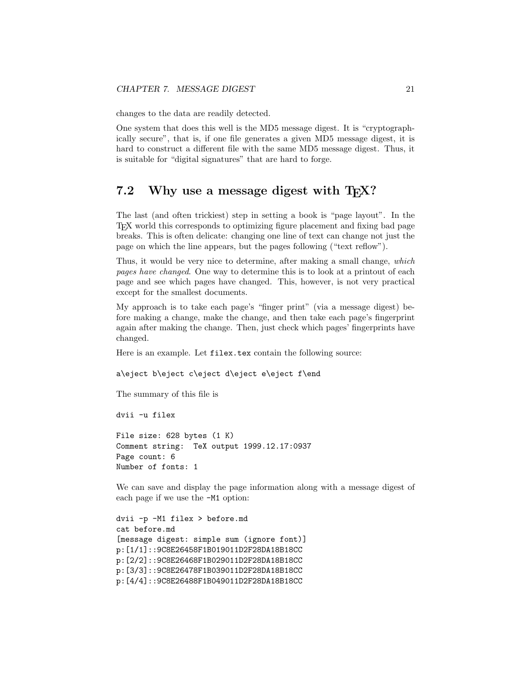changes to the data are readily detected.

One system that does this well is the MD5 message digest. It is "cryptographically secure", that is, if one file generates a given MD5 message digest, it is hard to construct a different file with the same MD5 message digest. Thus, it is suitable for "digital signatures" that are hard to forge.

#### 7.2 Why use a message digest with T<sub>E</sub>X?

The last (and often trickiest) step in setting a book is "page layout". In the TEX world this corresponds to optimizing figure placement and fixing bad page breaks. This is often delicate: changing one line of text can change not just the page on which the line appears, but the pages following ("text reflow").

Thus, it would be very nice to determine, after making a small change, which pages have changed. One way to determine this is to look at a printout of each page and see which pages have changed. This, however, is not very practical except for the smallest documents.

My approach is to take each page's "finger print" (via a message digest) before making a change, make the change, and then take each page's fingerprint again after making the change. Then, just check which pages' fingerprints have changed.

Here is an example. Let filex.tex contain the following source:

a\eject b\eject c\eject d\eject e\eject f\end

The summary of this file is

dvii -u filex

File size: 628 bytes (1 K) Comment string: TeX output 1999.12.17:0937 Page count: 6 Number of fonts: 1

We can save and display the page information along with a message digest of each page if we use the -M1 option:

```
dvii -p -M1 filex > before.md
cat before.md
[message digest: simple sum (ignore font)]
p:[1/1]::9C8E26458F1B019011D2F28DA18B18CC
p:[2/2]::9C8E26468F1B029011D2F28DA18B18CC
p:[3/3]::9C8E26478F1B039011D2F28DA18B18CC
p:[4/4]::9C8E26488F1B049011D2F28DA18B18CC
```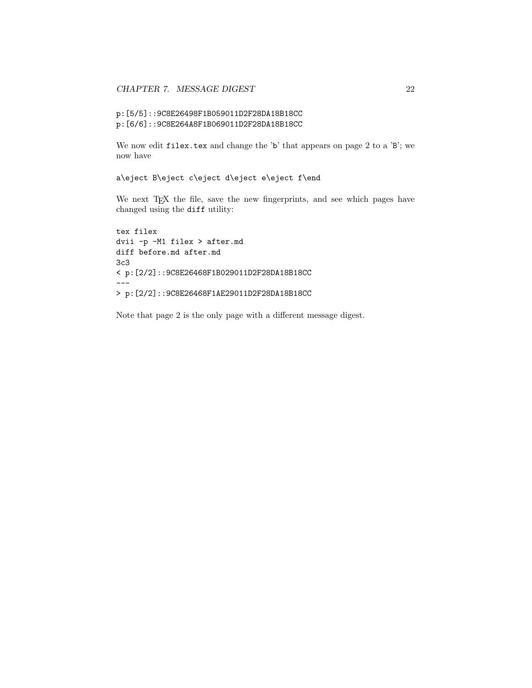```
p:[5/5]::9C8E26498F1B059011D2F28DA18B18CC
p:[6/6]::9C8E264A8F1B069011D2F28DA18B18CC
```
We now edit  $\mathtt{filex}.\mathtt{tex}$  and change the 'b' that appears on page 2 to a 'B'; we now have

```
a\eject B\eject c\eject d\eject e\eject f\end
```
We next TEX the file, save the new fingerprints, and see which pages have changed using the diff utility:

```
tex filex
dvii -p -M1 filex > after.md
diff before.md after.md
3c3
< p:[2/2]::9C8E26468F1B029011D2F28DA18B18CC
---
> p:[2/2]::9C8E26468F1AE29011D2F28DA18B18CC
```
Note that page 2 is the only page with a different message digest.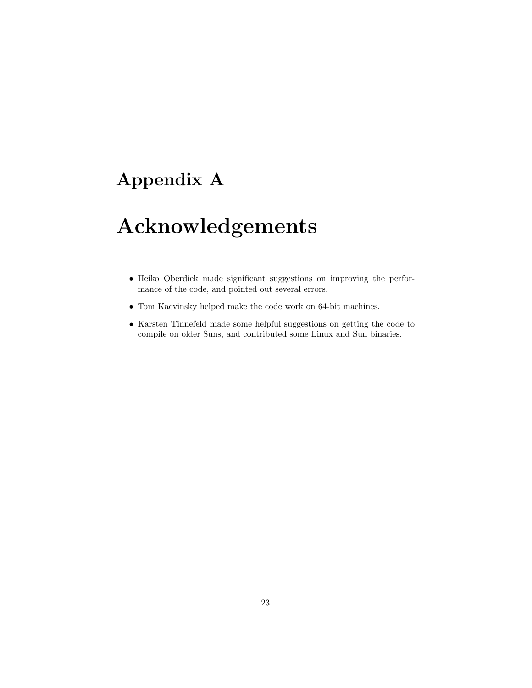## **Appendix A**

# **Acknowledgements**

- Heiko Oberdiek made significant suggestions on improving the performance of the code, and pointed out several errors.
- Tom Kacvinsky helped make the code work on 64-bit machines.
- Karsten Tinnefeld made some helpful suggestions on getting the code to compile on older Suns, and contributed some Linux and Sun binaries.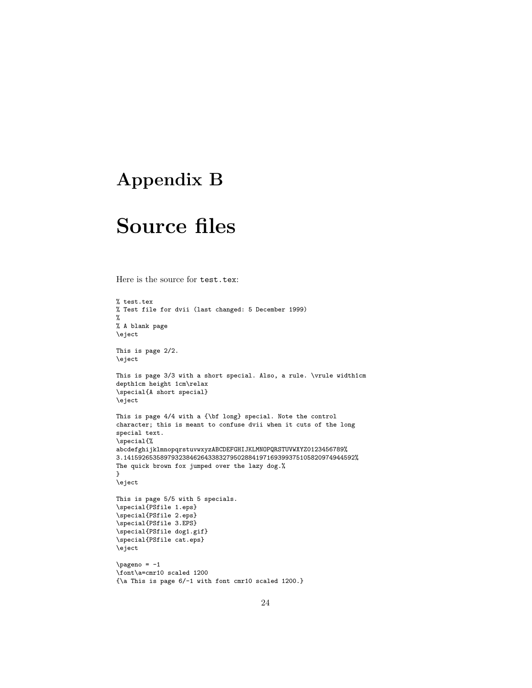## **Appendix B**

# **Source files**

Here is the source for test.tex:

```
% test.tex
% Test file for dvii (last changed: 5 December 1999)
%
% A blank page
\eject
This is page 2/2.
\eject
This is page 3/3 with a short special. Also, a rule. \vrule width1cm
depth1cm height 1cm\relax
\special{A short special}
\eject
This is page 4/4 with a {\bf long} special. Note the control
character; this is meant to confuse dvii when it cuts of the long
special text.
\special{%
abcdefghijklmnopqrstuvwxyzABCDEFGHIJKLMNOPQRSTUVWXYZ0123456789%
3.141592653589793238462643383279502884197169399375105820974944592%
The quick brown fox jumped over the lazy dog.%
}
\eject
This is page 5/5 with 5 specials.
\special{PSfile 1.eps}
\special{PSfile 2.eps}
\special{PSfile 3.EPS}
\special{PSfile dog1.gif}
\special{PSfile cat.eps}
\eject
\pmb{\geqslant}\font\a=cmr10 scaled 1200
{\a This is page 6/-1 with font cmr10 scaled 1200.}
```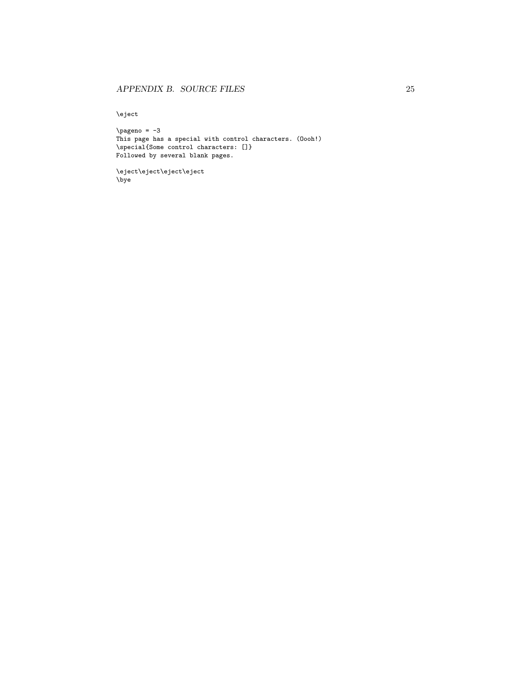\eject

 $\pmb{\geqslant}$ This page has a special with control characters. (Oooh!) \special{Some control characters: []} Followed by several blank pages.

\eject\eject\eject\eject \bye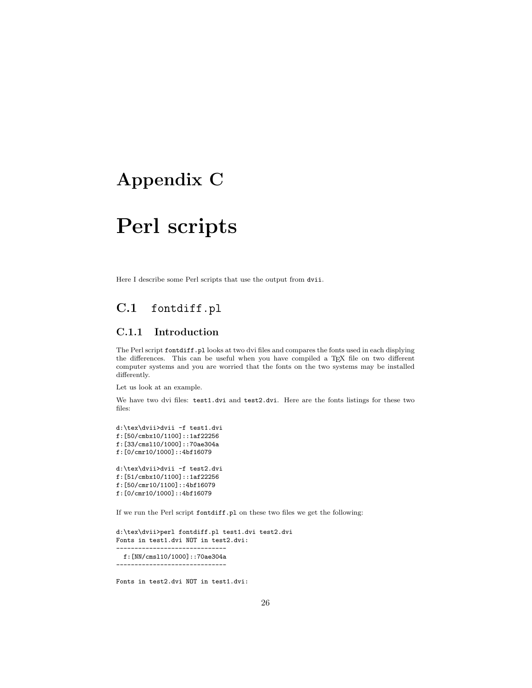## **Appendix C**

# **Perl scripts**

Here I describe some Perl scripts that use the output from dvii.

## **C.1** fontdiff.pl

#### **C.1.1 Introduction**

The Perl script fontdiff.pl looks at two dvi files and compares the fonts used in each displying the differences. This can be useful when you have compiled a TEX file on two different computer systems and you are worried that the fonts on the two systems may be installed differently.

Let us look at an example.

We have two dvi files: test1.dvi and test2.dvi. Here are the fonts listings for these two files:

```
d:\tex\dvii>dvii -f test1.dvi
f:[50/cmbx10/1100]::1af22256
f:[33/cmsl10/1000]::70ae304a
f:[0/cmr10/1000]::4bf16079
d:\tex\dvii>dvii -f test2.dvi
f:[51/cmbx10/1100]::1af22256
f:[50/cmr10/1100]::4bf16079
f:[0/cmr10/1000]::4bf16079
```
If we run the Perl script fontdiff.pl on these two files we get the following:

```
d:\tex\dvii>perl fontdiff.pl test1.dvi test2.dvi
Fonts in test1.dvi NOT in test2.dvi:
------------------------------
 f:[NN/cmsl10/1000]::70ae304a
```
------------------------------

Fonts in test2.dvi NOT in test1.dvi: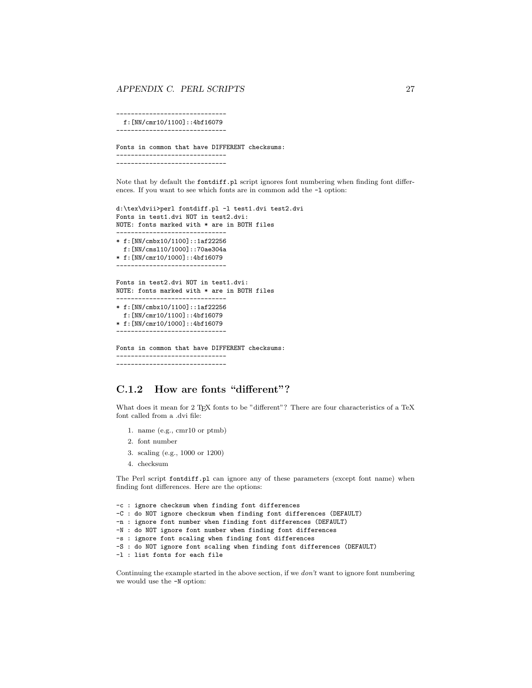#### *APPENDIX C. PERL SCRIPTS* 27

----------------------------- f:[NN/cmr10/1100]::4bf16079 ------------------------------

Fonts in common that have DIFFERENT checksums: ------------------------------ ------------------------------

Note that by default the fontdiff.pl script ignores font numbering when finding font differences. If you want to see which fonts are in common add the  $-1$  option:

```
d:\tex\dvii>perl fontdiff.pl -l test1.dvi test2.dvi
Fonts in test1.dvi NOT in test2.dvi:
NOTE: fonts marked with * are in BOTH files
------------------------------
* f:[NN/cmbx10/1100]::1af22256
 f:[NN/cmsl10/1000]::70ae304a
* f:[NN/cmr10/1000]::4bf16079
     ------------------------------
Fonts in test2.dvi NOT in test1.dvi:
NOTE: fonts marked with * are in BOTH files
 ------------------------------
* f:[NN/cmbx10/1100]::1af22256
 f:[NN/cmr10/1100]::4bf16079
* f:[NN/cmr10/1000]::4bf16079
               ------------------------------
Fonts in common that have DIFFERENT checksums:
------------------------------
------------------------------
```
#### **C.1.2 How are fonts "different"?**

What does it mean for 2 TFX fonts to be "different"? There are four characteristics of a TeX font called from a .dvi file:

- 1. name (e.g., cmr10 or ptmb)
- 2. font number
- 3. scaling (e.g., 1000 or 1200)
- 4. checksum

The Perl script fontdiff.pl can ignore any of these parameters (except font name) when finding font differences. Here are the options:

```
-c : ignore checksum when finding font differences
-C : do NOT ignore checksum when finding font differences (DEFAULT)
-n : ignore font number when finding font differences (DEFAULT)
-N : do NOT ignore font number when finding font differences
-s : ignore font scaling when finding font differences
-S : do NOT ignore font scaling when finding font differences (DEFAULT)
-l : list fonts for each file
```
Continuing the example started in the above section, if we  $don't$  want to ignore font numbering we would use the -N option: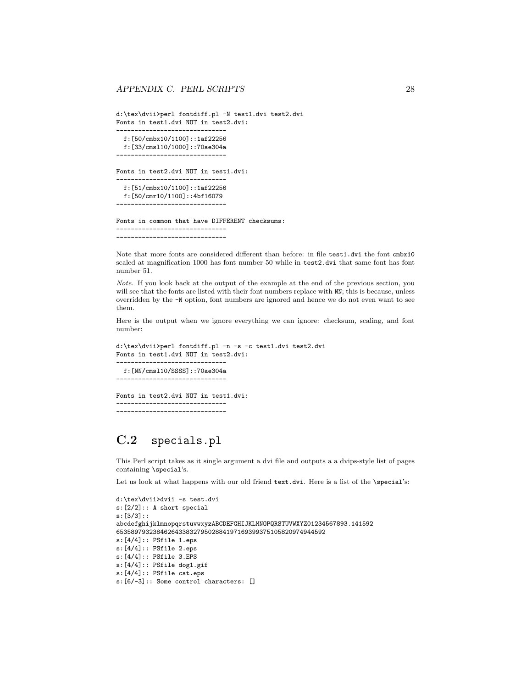d:\tex\dvii>perl fontdiff.pl -N test1.dvi test2.dvi Fonts in test1.dvi NOT in test2.dvi:

----------------------------- f:[50/cmbx10/1100]::1af22256 f:[33/cmsl10/1000]::70ae304a ------------------------------

Fonts in test2.dvi NOT in test1.dvi:

----------------------------- f:[51/cmbx10/1100]::1af22256 f:[50/cmr10/1100]::4bf16079 ------------------------------

Fonts in common that have DIFFERENT checksums: ------------------------------

------------------------------

Note that more fonts are considered different than before: in file test1.dvi the font cmbx10 scaled at magnification 1000 has font number 50 while in test2.dvi that same font has font number 51.

Note. If you look back at the output of the example at the end of the previous section, you will see that the fonts are listed with their font numbers replace with NN; this is because, unless overridden by the -N option, font numbers are ignored and hence we do not even want to see them.

Here is the output when we ignore everything we can ignore: checksum, scaling, and font number:

```
d:\tex\dvii>perl fontdiff.pl -n -s -c test1.dvi test2.dvi
Fonts in test1.dvi NOT in test2.dvi:
------------------------------
 f:[NN/cmsl10/SSSS]::70ae304a
------------------------------
Fonts in test2.dvi NOT in test1.dvi:
  ------------------------------
------------------------------
```
## **C.2** specials.pl

This Perl script takes as it single argument a dvi file and outputs a a dvips-style list of pages containing \special's.

Let us look at what happens with our old friend text.dvi. Here is a list of the \special's:

```
d:\tex\dvii>dvii -s test.dvi
s:[2/2]:: A short special
s:[3/3]::
abcdefghijklmnopqrstuvwxyzABCDEFGHIJKLMNOPQRSTUVWXYZ01234567893.141592
653589793238462643383279502884197169399375105820974944592
s:[4/4]:: PSfile 1.eps
s:[4/4]:: PSfile 2.eps
s:[4/4]:: PSfile 3.EPS
s:[4/4]:: PSfile dog1.gif
s:[4/4]:: PSfile cat.eps
s:[6/-3]:: Some control characters: []
```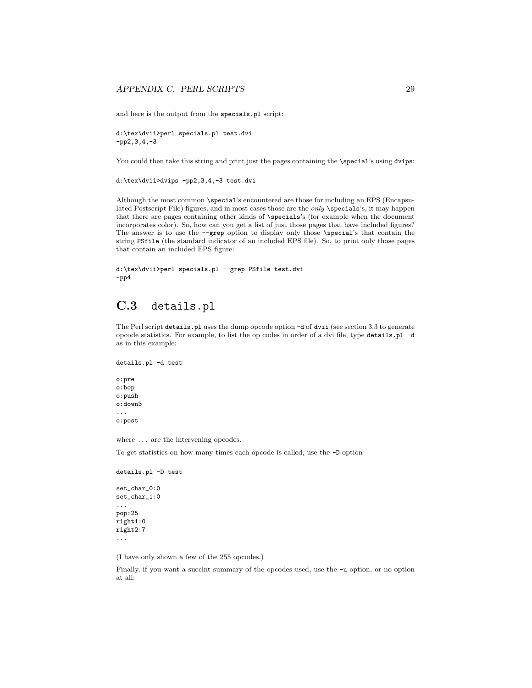and here is the output from the specials.pl script:

d:\tex\dvii>perl specials.pl test.dvi -pp2,3,4,-3

You could then take this string and print just the pages containing the \special's using dvips:

d:\tex\dvii>dvips -pp2,3,4,-3 test.dvi

Although the most common \special's encountered are those for including an EPS (Encapsulated Postscript File) figures, and in most cases those are the *only* \specials's, it may happen that there are pages containing other kinds of \specials's (for example when the document incorporates color). So, how can you get a list of just those pages that have included figures? The answer is to use the --grep option to display only those \special's that contain the string PSfile (the standard indicator of an included EPS file). So, to print only those pages that contain an included EPS figure:

```
d:\tex\dvii>perl specials.pl --grep PSfile test.dvi
-pp4
```
### **C.3** details.pl

The Perl script details.pl uses the dump opcode option -d of dvii (see section 3.3 to generate opcode statistics. For example, to list the op codes in order of a dvi file, type details.pl -d as in this example:

```
details.pl -d test
```
o:pre o:bop o:push o:down3 ... o:post

where ... are the intervening opcodes.

To get statistics on how many times each opcode is called, use the -D option

```
details.pl -D test
```

```
set_char_0:0
set_char_1:0
...
pop:25
right1:0
right2:7
...
```
(I have only shown a few of the 255 opcodes.)

Finally, if you want a succint summary of the opcodes used, use the -u option, or no option at all: